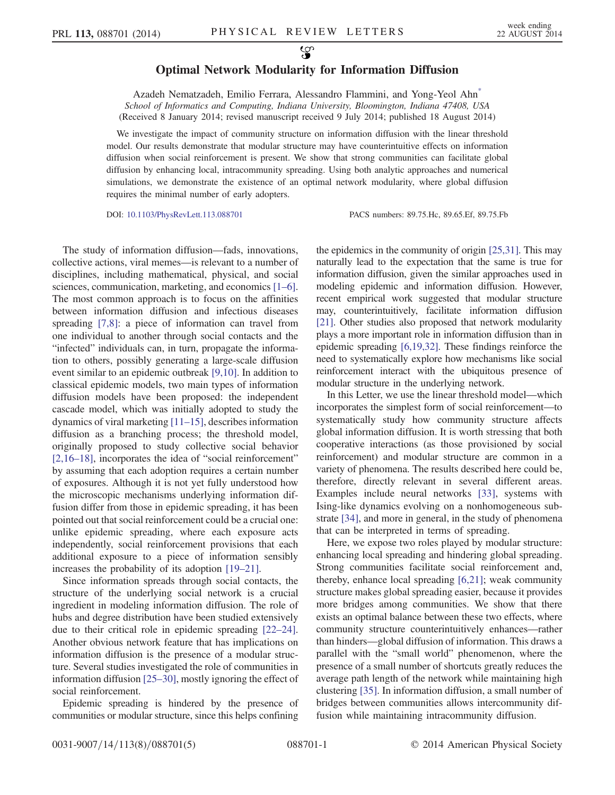## Optimal Network Modularity for Information Diffusion

<span id="page-0-0"></span>Azadeh Nematzadeh, Emilio Ferrara, Alessandro Flammini, and Yong-Yeol Ah[n\\*](#page-4-0) School of Informatics and Computing, Indiana University, Bloomington, Indiana 47408, USA (Received 8 January 2014; revised manuscript received 9 July 2014; published 18 August 2014)

We investigate the impact of community structure on information diffusion with the linear threshold model. Our results demonstrate that modular structure may have counterintuitive effects on information diffusion when social reinforcement is present. We show that strong communities can facilitate global diffusion by enhancing local, intracommunity spreading. Using both analytic approaches and numerical simulations, we demonstrate the existence of an optimal network modularity, where global diffusion requires the minimal number of early adopters.

DOI: [10.1103/PhysRevLett.113.088701](http://dx.doi.org/10.1103/PhysRevLett.113.088701) PACS numbers: 89.75.Hc, 89.65.Ef, 89.75.Fb

The study of information diffusion—fads, innovations, collective actions, viral memes—is relevant to a number of disciplines, including mathematical, physical, and social sciences, communication, marketing, and economics [\[1](#page-4-1)–6]. The most common approach is to focus on the affinities between information diffusion and infectious diseases spreading [\[7,8\]](#page-4-2): a piece of information can travel from one individual to another through social contacts and the "infected" individuals can, in turn, propagate the information to others, possibly generating a large-scale diffusion event similar to an epidemic outbreak [\[9,10\].](#page-4-3) In addition to classical epidemic models, two main types of information diffusion models have been proposed: the independent cascade model, which was initially adopted to study the dynamics of viral marketing [11–[15\],](#page-4-4) describes information diffusion as a branching process; the threshold model, originally proposed to study collective social behavior [\[2,16](#page-4-5)–18], incorporates the idea of "social reinforcement" by assuming that each adoption requires a certain number of exposures. Although it is not yet fully understood how the microscopic mechanisms underlying information diffusion differ from those in epidemic spreading, it has been pointed out that social reinforcement could be a crucial one: unlike epidemic spreading, where each exposure acts independently, social reinforcement provisions that each additional exposure to a piece of information sensibly increases the probability of its adoption [19–[21\].](#page-4-6)

Since information spreads through social contacts, the structure of the underlying social network is a crucial ingredient in modeling information diffusion. The role of hubs and degree distribution have been studied extensively due to their critical role in epidemic spreading [\[22](#page-4-7)–24]. Another obvious network feature that has implications on information diffusion is the presence of a modular structure. Several studies investigated the role of communities in information diffusion [25–[30\],](#page-4-8) mostly ignoring the effect of social reinforcement.

Epidemic spreading is hindered by the presence of communities or modular structure, since this helps confining

the epidemics in the community of origin [\[25,31\]](#page-4-8). This may naturally lead to the expectation that the same is true for information diffusion, given the similar approaches used in modeling epidemic and information diffusion. However, recent empirical work suggested that modular structure may, counterintuitively, facilitate information diffusion [\[21\].](#page-4-9) Other studies also proposed that network modularity plays a more important role in information diffusion than in epidemic spreading [\[6,19,32\]](#page-4-10). These findings reinforce the need to systematically explore how mechanisms like social reinforcement interact with the ubiquitous presence of modular structure in the underlying network.

In this Letter, we use the linear threshold model—which incorporates the simplest form of social reinforcement—to systematically study how community structure affects global information diffusion. It is worth stressing that both cooperative interactions (as those provisioned by social reinforcement) and modular structure are common in a variety of phenomena. The results described here could be, therefore, directly relevant in several different areas. Examples include neural networks [\[33\]](#page-4-11), systems with Ising-like dynamics evolving on a nonhomogeneous substrate [\[34\]](#page-4-12), and more in general, in the study of phenomena that can be interpreted in terms of spreading.

Here, we expose two roles played by modular structure: enhancing local spreading and hindering global spreading. Strong communities facilitate social reinforcement and, thereby, enhance local spreading [\[6,21\]](#page-4-10); weak community structure makes global spreading easier, because it provides more bridges among communities. We show that there exists an optimal balance between these two effects, where community structure counterintuitively enhances—rather than hinders—global diffusion of information. This draws a parallel with the "small world" phenomenon, where the presence of a small number of shortcuts greatly reduces the average path length of the network while maintaining high clustering [\[35\].](#page-4-13) In information diffusion, a small number of bridges between communities allows intercommunity diffusion while maintaining intracommunity diffusion.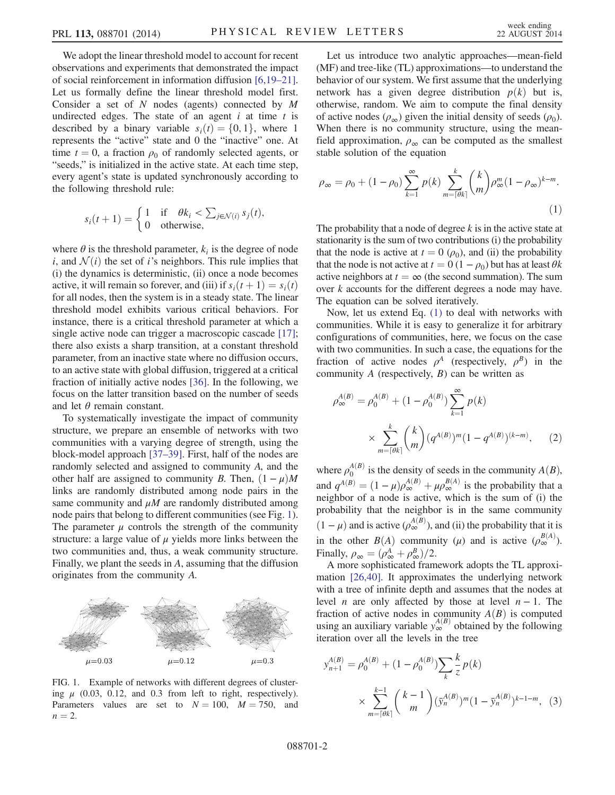We adopt the linear threshold model to account for recent observations and experiments that demonstrated the impact of social reinforcement in information diffusion [\[6,19](#page-4-10)–21]. Let us formally define the linear threshold model first. Consider a set of  $N$  nodes (agents) connected by  $M$ undirected edges. The state of an agent  $i$  at time  $t$  is described by a binary variable  $s_i(t) = \{0, 1\}$ , where 1 represents the "active" state and 0 the "inactive" one. At time  $t = 0$ , a fraction  $\rho_0$  of randomly selected agents, or "seeds," is initialized in the active state. At each time step, every agent's state is updated synchronously according to the following threshold rule:

$$
s_i(t+1) = \begin{cases} 1 & \text{if } \theta k_i < \sum_{j \in \mathcal{N}(i)} s_j(t), \\ 0 & \text{otherwise,} \end{cases}
$$

where  $\theta$  is the threshold parameter,  $k_i$  is the degree of node i, and  $\mathcal{N}(i)$  the set of i's neighbors. This rule implies that (i) the dynamics is deterministic, (ii) once a node becomes active, it will remain so forever, and (iii) if  $s_i(t + 1) = s_i(t)$ for all nodes, then the system is in a steady state. The linear threshold model exhibits various critical behaviors. For instance, there is a critical threshold parameter at which a single active node can trigger a macroscopic cascade [\[17\]](#page-4-14); there also exists a sharp transition, at a constant threshold parameter, from an inactive state where no diffusion occurs, to an active state with global diffusion, triggered at a critical fraction of initially active nodes [\[36\].](#page-4-15) In the following, we focus on the latter transition based on the number of seeds and let  $\theta$  remain constant.

To systematically investigate the impact of community structure, we prepare an ensemble of networks with two communities with a varying degree of strength, using the block-model approach [\[37](#page-4-16)–39]. First, half of the nodes are randomly selected and assigned to community A, and the other half are assigned to community B. Then,  $(1 - \mu)M$ links are randomly distributed among node pairs in the same community and  $\mu$ M are randomly distributed among node pairs that belong to different communities (see Fig. [1](#page-1-0)). The parameter  $\mu$  controls the strength of the community structure: a large value of  $\mu$  yields more links between the two communities and, thus, a weak community structure. Finally, we plant the seeds in A, assuming that the diffusion originates from the community A.

<span id="page-1-0"></span>

FIG. 1. Example of networks with different degrees of clustering  $\mu$  (0.03, 0.12, and 0.3 from left to right, respectively). Parameters values are set to  $N = 100$ ,  $M = 750$ , and  $n = 2$ .

Let us introduce two analytic approaches—mean-field (MF) and tree-like (TL) approximations—to understand the behavior of our system. We first assume that the underlying network has a given degree distribution  $p(k)$  but is, otherwise, random. We aim to compute the final density of active nodes  $(\rho_{\infty})$  given the initial density of seeds  $(\rho_0)$ . When there is no community structure, using the meanfield approximation,  $\rho_{\infty}$  can be computed as the smallest stable solution of the equation

<span id="page-1-1"></span>
$$
\rho_{\infty} = \rho_0 + (1 - \rho_0) \sum_{k=1}^{\infty} p(k) \sum_{m=\lceil \theta k \rceil}^{k} {k \choose m} \rho_{\infty}^m (1 - \rho_{\infty})^{k-m}.
$$
\n(1)

The probability that a node of degree  $k$  is in the active state at stationarity is the sum of two contributions (i) the probability that the node is active at  $t = 0 \ (\rho_0)$ , and (ii) the probability that the node is not active at  $t = 0 (1 - \rho_0)$  but has at least  $\theta k$ active neighbors at  $t = \infty$  (the second summation). The sum over k accounts for the different degrees a node may have. The equation can be solved iteratively.

Now, let us extend Eq. [\(1\)](#page-1-1) to deal with networks with communities. While it is easy to generalize it for arbitrary configurations of communities, here, we focus on the case with two communities. In such a case, the equations for the fraction of active nodes  $\rho^A$  (respectively,  $\rho^B$ ) in the community  $A$  (respectively,  $B$ ) can be written as

<span id="page-1-2"></span>
$$
\rho_{\infty}^{A(B)} = \rho_0^{A(B)} + (1 - \rho_0^{A(B)}) \sum_{k=1}^{\infty} p(k)
$$

$$
\times \sum_{m=\lceil \theta k \rceil}^{k} {k \choose m} (q^{A(B)})^m (1 - q^{A(B)})^{(k-m)}, \qquad (2)
$$

where  $\rho_0^{A(B)}$  $\frac{d^{(B)}}{d^{(B)}}$  is the density of seeds in the community  $A(B)$ , and  $q^{A(B)} = (1 - \mu)\rho_{\infty}^{A(B)} + \mu \rho_{\infty}^{B(A)}$  is the probability that a neighbor of a node is active which is the sum of (i) the neighbor of a node is active, which is the sum of (i) the probability that the neighbor is in the same community  $(1 - \mu)$  and is active  $(\rho_{\infty}^{A(B)})$ , and (ii) the probability that it is in the other  $B(A)$  community ( $\mu$ ) and is active  $(\rho_{\infty}^{B(A)})$ .<br>Finally  $\rho_{\alpha} = (\rho_{\alpha}^{A} + \rho_{\alpha}^{B})/2$ Finally,  $\rho_{\infty} = (\rho_{\infty}^A + \rho_{\infty}^B)/2$ .<br>A more sonbisticated fram

A more sophisticated framework adopts the TL approximation [\[26,40\]](#page-4-17). It approximates the underlying network with a tree of infinite depth and assumes that the nodes at level *n* are only affected by those at level  $n - 1$ . The fraction of active nodes in community  $A(B)$  is computed fraction of active nodes in community  $A(B)$  is computed using an auxiliary variable  $y_\infty^{A(B)}$  obtained by the following iteration over all the levels in the tree

$$
y_{n+1}^{A(B)} = \rho_0^{A(B)} + (1 - \rho_0^{A(B)}) \sum_{k} \frac{k}{z} p(k)
$$
  
 
$$
\times \sum_{m=\lceil \theta k \rceil}^{k-1} {k-1 \choose m} (\bar{y}_n^{A(B)})^m (1 - \bar{y}_n^{A(B)})^{k-1-m}, \quad (3)
$$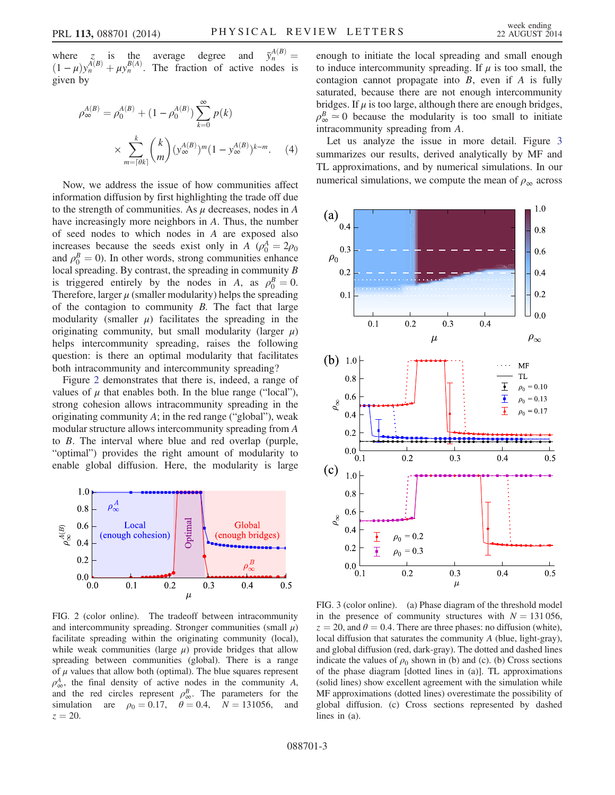where z is the average degree and  $\bar{y}_n^{A(B)} = (1 - \mu) y_n^{A(B)} + \mu y_n^{B(A)}$  The fraction of active nodes is  $(1 - \mu)y_n^{A(B)} + \mu y_n^{B(A)}$ . The fraction of active nodes is given by given by

$$
\rho_{\infty}^{A(B)} = \rho_0^{A(B)} + (1 - \rho_0^{A(B)}) \sum_{k=0}^{\infty} p(k)
$$

$$
\times \sum_{m=\lceil \theta k \rceil}^{k} {k \choose m} (y_{\infty}^{A(B)})^m (1 - y_{\infty}^{A(B)})^{k-m}.
$$
 (4)

Now, we address the issue of how communities affect information diffusion by first highlighting the trade off due to the strength of communities. As  $\mu$  decreases, nodes in A have increasingly more neighbors in A. Thus, the number of seed nodes to which nodes in A are exposed also increases because the seeds exist only in A  $(\rho_0^A = 2\rho_0)$ <br>and  $\rho^B = 0$ ). In other words, strong communities enhance and  $\rho_0^B = 0$ ). In other words, strong communities enhance<br>local spreading. By contrast, the spreading in community B local spreading. By contrast, the spreading in community B is triggered entirely by the nodes in A, as  $\rho_0^B = 0$ .<br>Therefore larger u (smaller modularity) helps the spreading Therefore, larger  $\mu$  (smaller modularity) helps the spreading of the contagion to community B. The fact that large modularity (smaller  $\mu$ ) facilitates the spreading in the originating community, but small modularity (larger  $\mu$ ) helps intercommunity spreading, raises the following question: is there an optimal modularity that facilitates both intracommunity and intercommunity spreading?

Figure [2](#page-2-0) demonstrates that there is, indeed, a range of values of  $\mu$  that enables both. In the blue range ("local"), strong cohesion allows intracommunity spreading in the originating community  $A$ ; in the red range ("global"), weak modular structure allows intercommunity spreading from A to B. The interval where blue and red overlap (purple, "optimal") provides the right amount of modularity to enable global diffusion. Here, the modularity is large

<span id="page-2-0"></span>

FIG. 2 (color online). The tradeoff between intracommunity and intercommunity spreading. Stronger communities (small  $\mu$ ) facilitate spreading within the originating community (local), while weak communities (large  $\mu$ ) provide bridges that allow spreading between communities (global). There is a range of  $\mu$  values that allow both (optimal). The blue squares represent  $\rho_{\infty}^{A}$ , the final density of active nodes in the community A, and the red circles represent  $\rho^B_{\infty}$ . The parameters for the simulation are  $\rho_0 = 0.17$ ,  $\theta = 0.4$ ,  $N = 131056$ , and  $z = 20$ .

enough to initiate the local spreading and small enough to induce intercommunity spreading. If  $\mu$  is too small, the contagion cannot propagate into  $B$ , even if  $A$  is fully saturated, because there are not enough intercommunity bridges. If  $\mu$  is too large, although there are enough bridges,  $\rho^B_\infty \simeq 0$  because the modularity is too small to initiate intracommunity spreading from A.

Let us analyze the issue in more detail. Figure [3](#page-2-1) summarizes our results, derived analytically by MF and TL approximations, and by numerical simulations. In our numerical simulations, we compute the mean of  $\rho_{\infty}$  across

<span id="page-2-1"></span>

FIG. 3 (color online). (a) Phase diagram of the threshold model in the presence of community structures with  $N = 131 056$ ,  $z = 20$ , and  $\theta = 0.4$ . There are three phases: no diffusion (white), local diffusion that saturates the community A (blue, light-gray), and global diffusion (red, dark-gray). The dotted and dashed lines indicate the values of  $\rho_0$  shown in (b) and (c). (b) Cross sections of the phase diagram [dotted lines in (a)]. TL approximations (solid lines) show excellent agreement with the simulation while MF approximations (dotted lines) overestimate the possibility of global diffusion. (c) Cross sections represented by dashed lines in (a).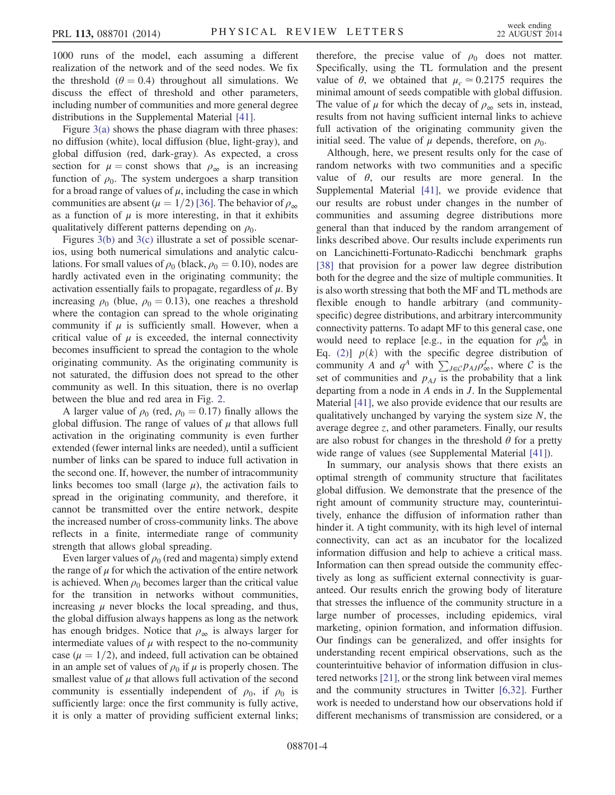1000 runs of the model, each assuming a different realization of the network and of the seed nodes. We fix the threshold ( $\theta = 0.4$ ) throughout all simulations. We discuss the effect of threshold and other parameters, including number of communities and more general degree distributions in the Supplemental Material [\[41\]](#page-4-18).

Figure [3\(a\)](#page-2-1) shows the phase diagram with three phases: no diffusion (white), local diffusion (blue, light-gray), and global diffusion (red, dark-gray). As expected, a cross section for  $\mu$  = const shows that  $\rho_{\infty}$  is an increasing function of  $\rho_0$ . The system undergoes a sharp transition for a broad range of values of  $\mu$ , including the case in which communities are absent ( $\mu = 1/2$ ) [\[36\]](#page-4-15). The behavior of  $\rho_{\infty}$ as a function of  $\mu$  is more interesting, in that it exhibits qualitatively different patterns depending on  $\rho_0$ .

Figures [3\(b\)](#page-2-1) and [3\(c\)](#page-2-1) illustrate a set of possible scenarios, using both numerical simulations and analytic calculations. For small values of  $\rho_0$  (black,  $\rho_0 = 0.10$ ), nodes are hardly activated even in the originating community; the activation essentially fails to propagate, regardless of  $\mu$ . By increasing  $\rho_0$  (blue,  $\rho_0 = 0.13$ ), one reaches a threshold where the contagion can spread to the whole originating community if  $\mu$  is sufficiently small. However, when a critical value of  $\mu$  is exceeded, the internal connectivity becomes insufficient to spread the contagion to the whole originating community. As the originating community is not saturated, the diffusion does not spread to the other community as well. In this situation, there is no overlap between the blue and red area in Fig. [2.](#page-2-0)

A larger value of  $\rho_0$  (red,  $\rho_0 = 0.17$ ) finally allows the global diffusion. The range of values of  $\mu$  that allows full activation in the originating community is even further extended (fewer internal links are needed), until a sufficient number of links can be spared to induce full activation in the second one. If, however, the number of intracommunity links becomes too small (large  $\mu$ ), the activation fails to spread in the originating community, and therefore, it cannot be transmitted over the entire network, despite the increased number of cross-community links. The above reflects in a finite, intermediate range of community strength that allows global spreading.

Even larger values of  $\rho_0$  (red and magenta) simply extend the range of  $\mu$  for which the activation of the entire network is achieved. When  $\rho_0$  becomes larger than the critical value for the transition in networks without communities, increasing  $\mu$  never blocks the local spreading, and thus, the global diffusion always happens as long as the network has enough bridges. Notice that  $\rho_{\infty}$  is always larger for intermediate values of  $\mu$  with respect to the no-community case ( $\mu = 1/2$ ), and indeed, full activation can be obtained in an ample set of values of  $\rho_0$  if  $\mu$  is properly chosen. The smallest value of  $\mu$  that allows full activation of the second community is essentially independent of  $\rho_0$ , if  $\rho_0$  is sufficiently large: once the first community is fully active, it is only a matter of providing sufficient external links; therefore, the precise value of  $\rho_0$  does not matter. Specifically, using the TL formulation and the present value of  $\theta$ , we obtained that  $\mu_c \approx 0.2175$  requires the minimal amount of seeds compatible with global diffusion. The value of  $\mu$  for which the decay of  $\rho_{\infty}$  sets in, instead, results from not having sufficient internal links to achieve full activation of the originating community given the initial seed. The value of  $\mu$  depends, therefore, on  $\rho_0$ .

Although, here, we present results only for the case of random networks with two communities and a specific value of  $\theta$ , our results are more general. In the Supplemental Material [\[41\],](#page-4-18) we provide evidence that our results are robust under changes in the number of communities and assuming degree distributions more general than that induced by the random arrangement of links described above. Our results include experiments run on Lancichinetti-Fortunato-Radicchi benchmark graphs [\[38\]](#page-4-19) that provision for a power law degree distribution both for the degree and the size of multiple communities. It is also worth stressing that both the MF and TL methods are flexible enough to handle arbitrary (and communityspecific) degree distributions, and arbitrary intercommunity connectivity patterns. To adapt MF to this general case, one would need to replace [e.g., in the equation for  $\rho^A_{\infty}$  in Eq. [\(2\)](#page-1-2)]  $p(k)$  with the specific degree distribution of community A and  $q^A$  with  $\sum_{J \in \mathcal{C}} p_{AJ} \rho_{\infty}^J$ , where C is the set of communities and  $p_{AI}$  is the probability that a link departing from a node in A ends in J. In the Supplemental Material [\[41\],](#page-4-18) we also provide evidence that our results are qualitatively unchanged by varying the system size  $N$ , the average degree z, and other parameters. Finally, our results are also robust for changes in the threshold  $\theta$  for a pretty wide range of values (see Supplemental Material [\[41\]\)](#page-4-18).

In summary, our analysis shows that there exists an optimal strength of community structure that facilitates global diffusion. We demonstrate that the presence of the right amount of community structure may, counterintuitively, enhance the diffusion of information rather than hinder it. A tight community, with its high level of internal connectivity, can act as an incubator for the localized information diffusion and help to achieve a critical mass. Information can then spread outside the community effectively as long as sufficient external connectivity is guaranteed. Our results enrich the growing body of literature that stresses the influence of the community structure in a large number of processes, including epidemics, viral marketing, opinion formation, and information diffusion. Our findings can be generalized, and offer insights for understanding recent empirical observations, such as the counterintuitive behavior of information diffusion in clustered networks [\[21\],](#page-4-9) or the strong link between viral memes and the community structures in Twitter [\[6,32\]](#page-4-10). Further work is needed to understand how our observations hold if different mechanisms of transmission are considered, or a